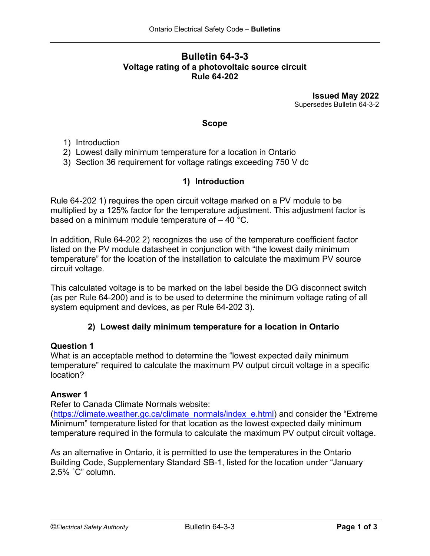# **Bulletin 64-3-3 Voltage rating of a photovoltaic source circuit Rule 64-202**

**Issued May 2022** Supersedes Bulletin 64-3-2

#### **Scope**

- 1) Introduction
- 2) Lowest daily minimum temperature for a location in Ontario
- 3) Section 36 requirement for voltage ratings exceeding 750 V dc

## **1) Introduction**

Rule 64-202 1) requires the open circuit voltage marked on a PV module to be multiplied by a 125% factor for the temperature adjustment. This adjustment factor is based on a minimum module temperature of  $-40$  °C.

In addition, Rule 64-202 2) recognizes the use of the temperature coefficient factor listed on the PV module datasheet in conjunction with "the lowest daily minimum temperature" for the location of the installation to calculate the maximum PV source circuit voltage.

This calculated voltage is to be marked on the label beside the DG disconnect switch (as per Rule 64-200) and is to be used to determine the minimum voltage rating of all system equipment and devices, as per Rule 64-202 3).

## **2) Lowest daily minimum temperature for a location in Ontario**

## **Question 1**

What is an acceptable method to determine the "lowest expected daily minimum temperature" required to calculate the maximum PV output circuit voltage in a specific location?

#### **Answer 1**

Refer to Canada Climate Normals website:

[\(https://climate.weather.gc.ca/climate\\_normals/index\\_e.html\)](https://climate.weather.gc.ca/climate_normals/index_e.html) and consider the "Extreme Minimum" temperature listed for that location as the lowest expected daily minimum temperature required in the formula to calculate the maximum PV output circuit voltage.

As an alternative in Ontario, it is permitted to use the temperatures in the Ontario Building Code, Supplementary Standard SB-1, listed for the location under "January 2.5% ˚C" column.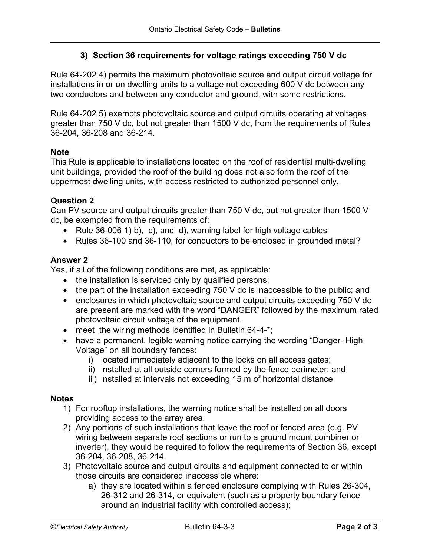# **3) Section 36 requirements for voltage ratings exceeding 750 V dc**

Rule 64-202 4) permits the maximum photovoltaic source and output circuit voltage for installations in or on dwelling units to a voltage not exceeding 600 V dc between any two conductors and between any conductor and ground, with some restrictions.

Rule 64-202 5) exempts photovoltaic source and output circuits operating at voltages greater than 750 V dc, but not greater than 1500 V dc, from the requirements of Rules 36-204, 36-208 and 36-214.

### **Note**

This Rule is applicable to installations located on the roof of residential multi-dwelling unit buildings, provided the roof of the building does not also form the roof of the uppermost dwelling units, with access restricted to authorized personnel only.

### **Question 2**

Can PV source and output circuits greater than 750 V dc, but not greater than 1500 V dc, be exempted from the requirements of:

- Rule 36-006 1) b), c), and d), warning label for high voltage cables
- Rules 36-100 and 36-110, for conductors to be enclosed in grounded metal?

## **Answer 2**

Yes, if all of the following conditions are met, as applicable:

- the installation is serviced only by qualified persons;
- the part of the installation exceeding 750 V dc is inaccessible to the public; and
- enclosures in which photovoltaic source and output circuits exceeding 750 V dc are present are marked with the word "DANGER" followed by the maximum rated photovoltaic circuit voltage of the equipment.
- meet the wiring methods identified in Bulletin 64-4-\*:
- have a permanent, legible warning notice carrying the wording "Danger- High Voltage" on all boundary fences:
	- i) located immediately adjacent to the locks on all access gates;
	- ii) installed at all outside corners formed by the fence perimeter; and
	- iii) installed at intervals not exceeding 15 m of horizontal distance

#### **Notes**

- 1) For rooftop installations, the warning notice shall be installed on all doors providing access to the array area.
- 2) Any portions of such installations that leave the roof or fenced area (e.g. PV wiring between separate roof sections or run to a ground mount combiner or inverter), they would be required to follow the requirements of Section 36, except 36-204, 36-208, 36-214.
- 3) Photovoltaic source and output circuits and equipment connected to or within those circuits are considered inaccessible where:
	- a) they are located within a fenced enclosure complying with Rules 26-304, 26-312 and 26-314, or equivalent (such as a property boundary fence around an industrial facility with controlled access);